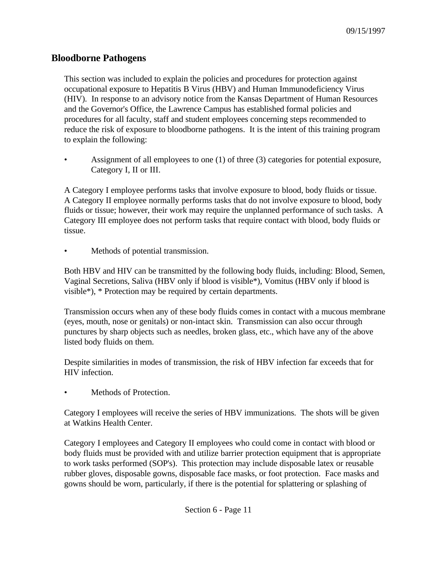## **Bloodborne Pathogens**

This section was included to explain the policies and procedures for protection against occupational exposure to Hepatitis B Virus (HBV) and Human Immunodeficiency Virus (HIV). In response to an advisory notice from the Kansas Department of Human Resources and the Governor's Office, the Lawrence Campus has established formal policies and procedures for all faculty, staff and student employees concerning steps recommended to reduce the risk of exposure to bloodborne pathogens. It is the intent of this training program to explain the following:

• Assignment of all employees to one (1) of three (3) categories for potential exposure, Category I, II or III.

A Category I employee performs tasks that involve exposure to blood, body fluids or tissue. A Category II employee normally performs tasks that do not involve exposure to blood, body fluids or tissue; however, their work may require the unplanned performance of such tasks. A Category III employee does not perform tasks that require contact with blood, body fluids or tissue.

Methods of potential transmission.

Both HBV and HIV can be transmitted by the following body fluids, including: Blood, Semen, Vaginal Secretions, Saliva (HBV only if blood is visible\*), Vomitus (HBV only if blood is visible\*), \* Protection may be required by certain departments.

Transmission occurs when any of these body fluids comes in contact with a mucous membrane (eyes, mouth, nose or genitals) or non-intact skin. Transmission can also occur through punctures by sharp objects such as needles, broken glass, etc., which have any of the above listed body fluids on them.

Despite similarities in modes of transmission, the risk of HBV infection far exceeds that for HIV infection.

Methods of Protection.

Category I employees will receive the series of HBV immunizations. The shots will be given at Watkins Health Center.

Category I employees and Category II employees who could come in contact with blood or body fluids must be provided with and utilize barrier protection equipment that is appropriate to work tasks performed (SOP's). This protection may include disposable latex or reusable rubber gloves, disposable gowns, disposable face masks, or foot protection. Face masks and gowns should be worn, particularly, if there is the potential for splattering or splashing of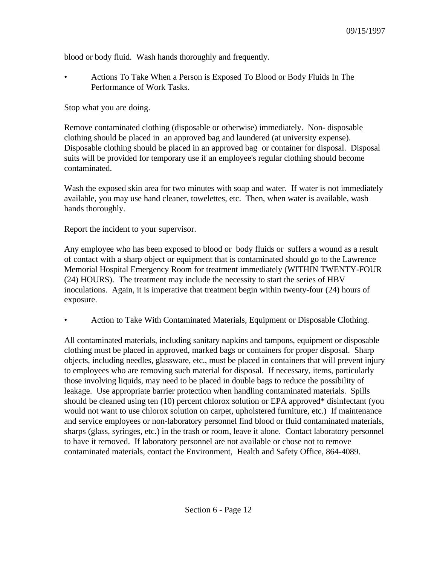blood or body fluid. Wash hands thoroughly and frequently.

• Actions To Take When a Person is Exposed To Blood or Body Fluids In The Performance of Work Tasks.

Stop what you are doing.

Remove contaminated clothing (disposable or otherwise) immediately. Non- disposable clothing should be placed in an approved bag and laundered (at university expense). Disposable clothing should be placed in an approved bag or container for disposal. Disposal suits will be provided for temporary use if an employee's regular clothing should become contaminated.

Wash the exposed skin area for two minutes with soap and water. If water is not immediately available, you may use hand cleaner, towelettes, etc. Then, when water is available, wash hands thoroughly.

Report the incident to your supervisor.

Any employee who has been exposed to blood or body fluids or suffers a wound as a result of contact with a sharp object or equipment that is contaminated should go to the Lawrence Memorial Hospital Emergency Room for treatment immediately (WITHIN TWENTY-FOUR (24) HOURS). The treatment may include the necessity to start the series of HBV inoculations. Again, it is imperative that treatment begin within twenty-four (24) hours of exposure.

• Action to Take With Contaminated Materials, Equipment or Disposable Clothing.

All contaminated materials, including sanitary napkins and tampons, equipment or disposable clothing must be placed in approved, marked bags or containers for proper disposal. Sharp objects, including needles, glassware, etc., must be placed in containers that will prevent injury to employees who are removing such material for disposal. If necessary, items, particularly those involving liquids, may need to be placed in double bags to reduce the possibility of leakage. Use appropriate barrier protection when handling contaminated materials. Spills should be cleaned using ten (10) percent chlorox solution or EPA approved\* disinfectant (you would not want to use chlorox solution on carpet, upholstered furniture, etc.) If maintenance and service employees or non-laboratory personnel find blood or fluid contaminated materials, sharps (glass, syringes, etc.) in the trash or room, leave it alone. Contact laboratory personnel to have it removed. If laboratory personnel are not available or chose not to remove contaminated materials, contact the Environment, Health and Safety Office, 864-4089.